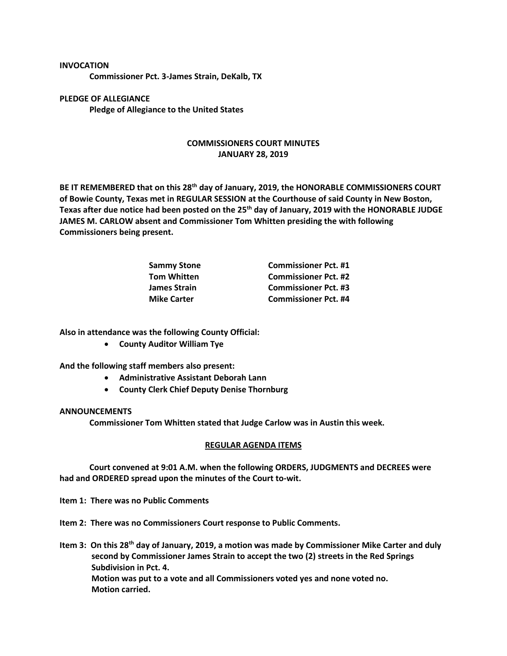## **INVOCATION**

**Commissioner Pct. 3-James Strain, DeKalb, TX**

**PLEDGE OF ALLEGIANCE Pledge of Allegiance to the United States**

## **COMMISSIONERS COURT MINUTES JANUARY 28, 2019**

**BE IT REMEMBERED that on this 28th day of January, 2019, the HONORABLE COMMISSIONERS COURT of Bowie County, Texas met in REGULAR SESSION at the Courthouse of said County in New Boston, Texas after due notice had been posted on the 25th day of January, 2019 with the HONORABLE JUDGE JAMES M. CARLOW absent and Commissioner Tom Whitten presiding the with following Commissioners being present.**

| <b>Sammy Stone</b>  | <b>Commissioner Pct. #1</b> |
|---------------------|-----------------------------|
| <b>Tom Whitten</b>  | <b>Commissioner Pct. #2</b> |
| <b>James Strain</b> | <b>Commissioner Pct. #3</b> |
| <b>Mike Carter</b>  | <b>Commissioner Pct. #4</b> |

**Also in attendance was the following County Official:**

• **County Auditor William Tye**

**And the following staff members also present:**

- **Administrative Assistant Deborah Lann**
- **County Clerk Chief Deputy Denise Thornburg**

## **ANNOUNCEMENTS**

**Commissioner Tom Whitten stated that Judge Carlow was in Austin this week.**

## **REGULAR AGENDA ITEMS**

**Court convened at 9:01 A.M. when the following ORDERS, JUDGMENTS and DECREES were had and ORDERED spread upon the minutes of the Court to-wit.**

**Item 1: There was no Public Comments**

**Item 2: There was no Commissioners Court response to Public Comments.**

**Item 3: On this 28th day of January, 2019, a motion was made by Commissioner Mike Carter and duly second by Commissioner James Strain to accept the two (2) streets in the Red Springs Subdivision in Pct. 4. Motion was put to a vote and all Commissioners voted yes and none voted no. Motion carried.**